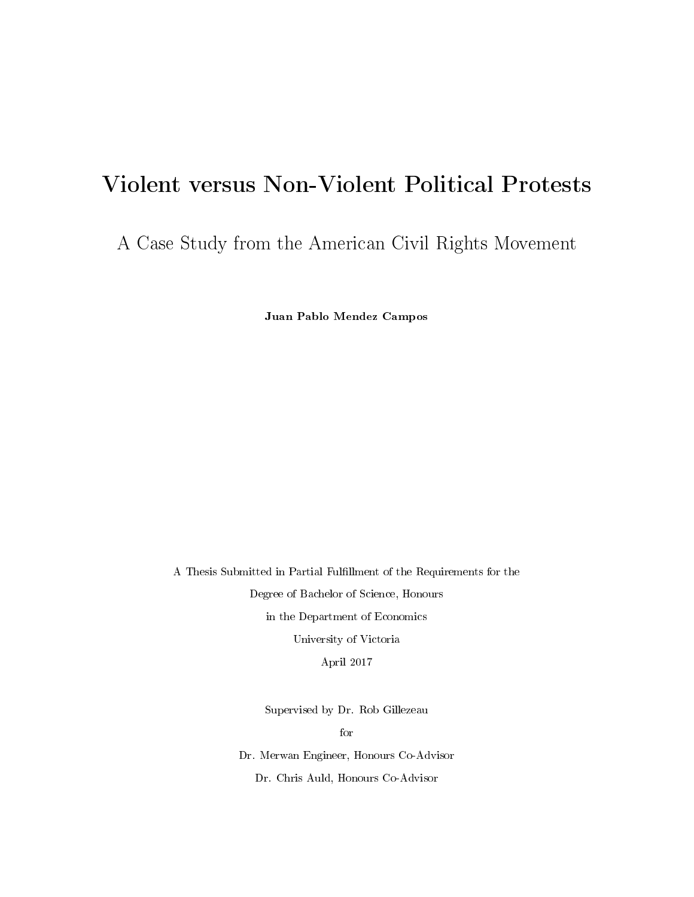# Violent versus Non-Violent Political Protests

## A Case Study from the American Civil Rights Movement

Juan Pablo Mendez Campos

A Thesis Submitted in Partial Fulllment of the Requirements for the Degree of Bachelor of Science, Honours in the Department of Economics University of Victoria

April 2017

Supervised by Dr. Rob Gillezeau

for

Dr. Merwan Engineer, Honours Co-Advisor

Dr. Chris Auld, Honours Co-Advisor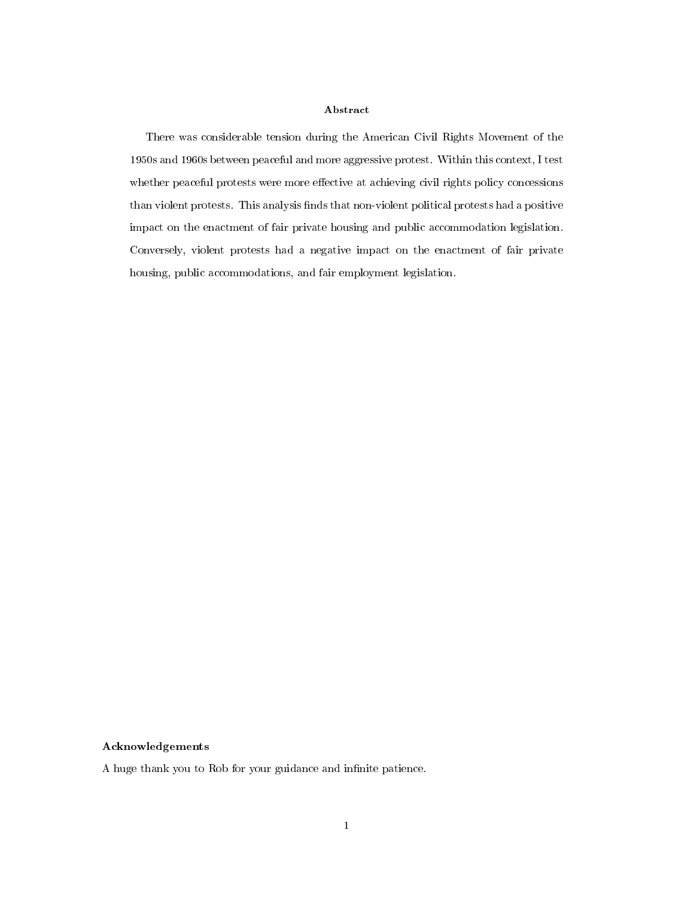#### Abstract

There was considerable tension during the American Civil Rights Movement of the 1950s and 1960s between peaceful and more aggressive protest. Within this context, I test whether peaceful protests were more effective at achieving civil rights policy concessions than violent protests. This analysis finds that non-violent political protests had a positive impact on the enactment of fair private housing and public accommodation legislation. Conversely, violent protests had a negative impact on the enactment of fair private housing, public accommodations, and fair employment legislation.

#### Acknowledgements

A huge thank you to Rob for your guidance and infinite patience.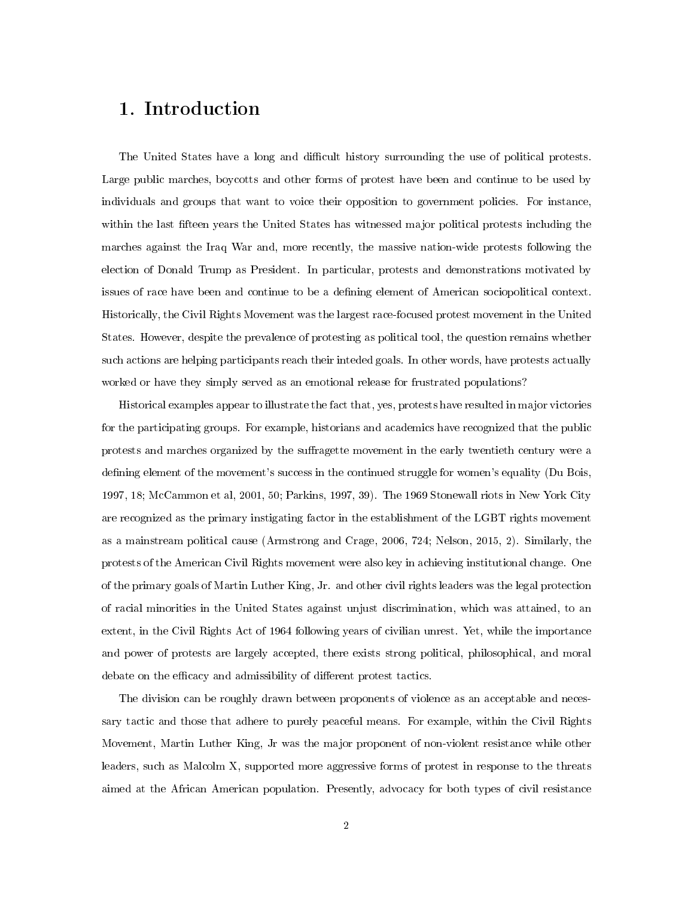### 1. Introduction

The United States have a long and difficult history surrounding the use of political protests. Large public marches, boycotts and other forms of protest have been and continue to be used by individuals and groups that want to voice their opposition to government policies. For instance, within the last fteen years the United States has witnessed major political protests including the marches against the Iraq War and, more recently, the massive nation-wide protests following the election of Donald Trump as President. In particular, protests and demonstrations motivated by issues of race have been and continue to be a defining element of American sociopolitical context. Historically, the Civil Rights Movement was the largest race-focused protest movement in the United States. However, despite the prevalence of protesting as political tool, the question remains whether such actions are helping participants reach their inteded goals. In other words, have protests actually worked or have they simply served as an emotional release for frustrated populations?

Historical examples appear to illustrate the fact that, yes, protests have resulted in major victories for the participating groups. For example, historians and academics have recognized that the public protests and marches organized by the suffragette movement in the early twentieth century were a defining element of the movement's success in the continued struggle for women's equality (Du Bois, 1997, 18; McCammon et al, 2001, 50; Parkins, 1997, 39). The 1969 Stonewall riots in New York City are recognized as the primary instigating factor in the establishment of the LGBT rights movement as a mainstream political cause (Armstrong and Crage, 2006, 724; Nelson, 2015, 2). Similarly, the protests of the American Civil Rights movement were also key in achieving institutional change. One of the primary goals of Martin Luther King, Jr. and other civil rights leaders was the legal protection of racial minorities in the United States against unjust discrimination, which was attained, to an extent, in the Civil Rights Act of 1964 following years of civilian unrest. Yet, while the importance and power of protests are largely accepted, there exists strong political, philosophical, and moral debate on the efficacy and admissibility of different protest tactics.

The division can be roughly drawn between proponents of violence as an acceptable and necessary tactic and those that adhere to purely peaceful means. For example, within the Civil Rights Movement, Martin Luther King, Jr was the major proponent of non-violent resistance while other leaders, such as Malcolm X, supported more aggressive forms of protest in response to the threats aimed at the African American population. Presently, advocacy for both types of civil resistance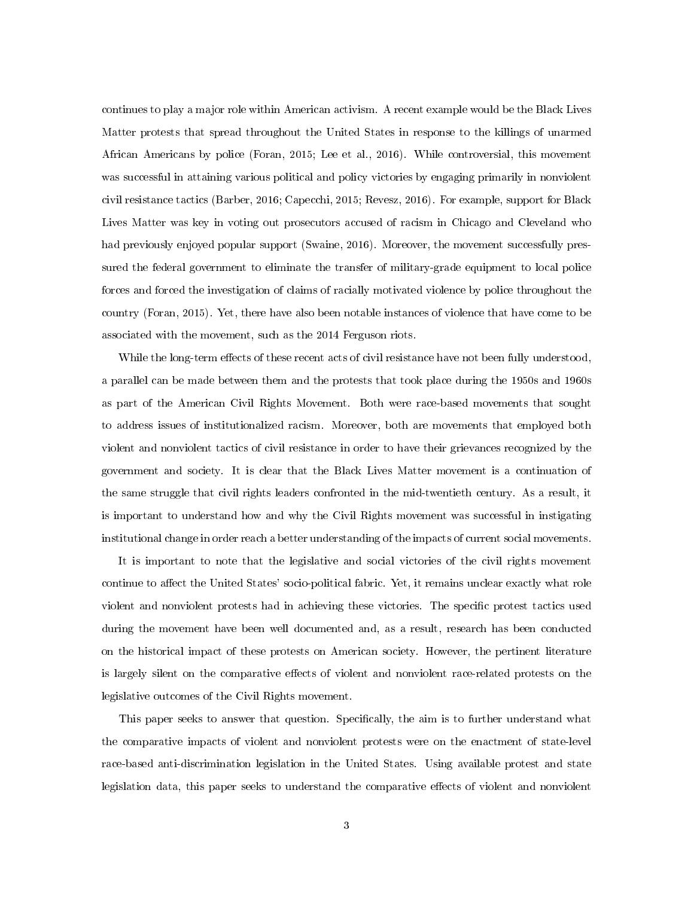continues to play a major role within American activism. A recent example would be the Black Lives Matter protests that spread throughout the United States in response to the killings of unarmed African Americans by police (Foran, 2015; Lee et al., 2016). While controversial, this movement was successful in attaining various political and policy victories by engaging primarily in nonviolent civil resistance tactics (Barber, 2016; Capecchi, 2015; Revesz, 2016). For example, support for Black Lives Matter was key in voting out prosecutors accused of racism in Chicago and Cleveland who had previously enjoyed popular support (Swaine, 2016). Moreover, the movement successfully pressured the federal government to eliminate the transfer of military-grade equipment to local police forces and forced the investigation of claims of racially motivated violence by police throughout the country (Foran, 2015). Yet, there have also been notable instances of violence that have come to be associated with the movement, such as the 2014 Ferguson riots.

While the long-term effects of these recent acts of civil resistance have not been fully understood, a parallel can be made between them and the protests that took place during the 1950s and 1960s as part of the American Civil Rights Movement. Both were race-based movements that sought to address issues of institutionalized racism. Moreover, both are movements that employed both violent and nonviolent tactics of civil resistance in order to have their grievances recognized by the government and society. It is clear that the Black Lives Matter movement is a continuation of the same struggle that civil rights leaders confronted in the mid-twentieth century. As a result, it is important to understand how and why the Civil Rights movement was successful in instigating institutional change in order reach a better understanding of the impacts of current social movements.

It is important to note that the legislative and social victories of the civil rights movement continue to affect the United States' socio-political fabric. Yet, it remains unclear exactly what role violent and nonviolent protests had in achieving these victories. The specific protest tactics used during the movement have been well documented and, as a result, research has been conducted on the historical impact of these protests on American society. However, the pertinent literature is largely silent on the comparative effects of violent and nonviolent race-related protests on the legislative outcomes of the Civil Rights movement.

This paper seeks to answer that question. Specifically, the aim is to further understand what the comparative impacts of violent and nonviolent protests were on the enactment of state-level race-based anti-discrimination legislation in the United States. Using available protest and state legislation data, this paper seeks to understand the comparative effects of violent and nonviolent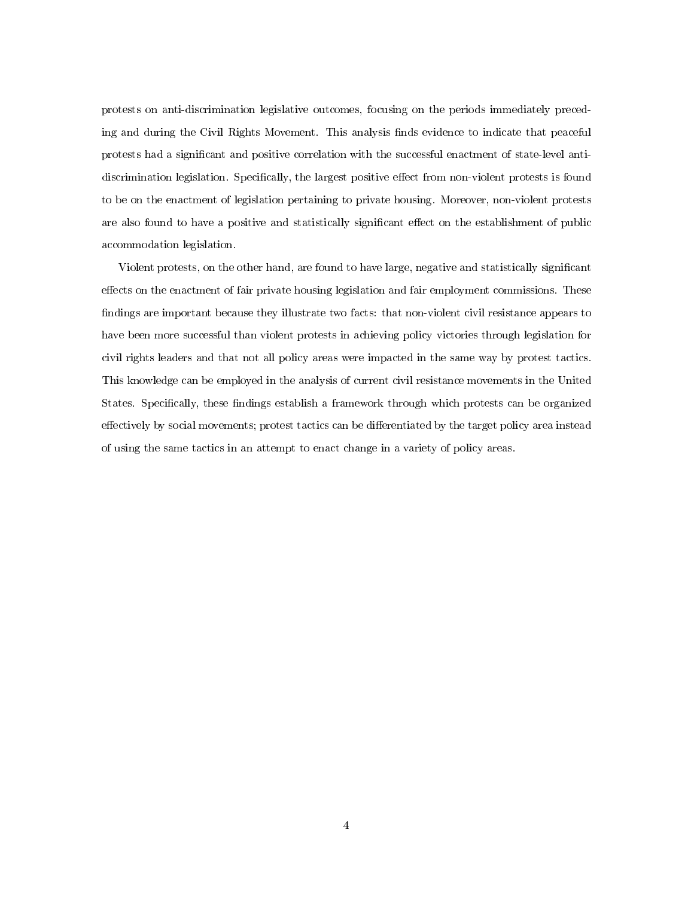protests on anti-discrimination legislative outcomes, focusing on the periods immediately preceding and during the Civil Rights Movement. This analysis finds evidence to indicate that peaceful protests had a signicant and positive correlation with the successful enactment of state-level antidiscrimination legislation. Specifically, the largest positive effect from non-violent protests is found to be on the enactment of legislation pertaining to private housing. Moreover, non-violent protests are also found to have a positive and statistically significant effect on the establishment of public accommodation legislation.

Violent protests, on the other hand, are found to have large, negative and statistically signicant effects on the enactment of fair private housing legislation and fair employment commissions. These findings are important because they illustrate two facts: that non-violent civil resistance appears to have been more successful than violent protests in achieving policy victories through legislation for civil rights leaders and that not all policy areas were impacted in the same way by protest tactics. This knowledge can be employed in the analysis of current civil resistance movements in the United States. Specifically, these findings establish a framework through which protests can be organized effectively by social movements; protest tactics can be differentiated by the target policy area instead of using the same tactics in an attempt to enact change in a variety of policy areas.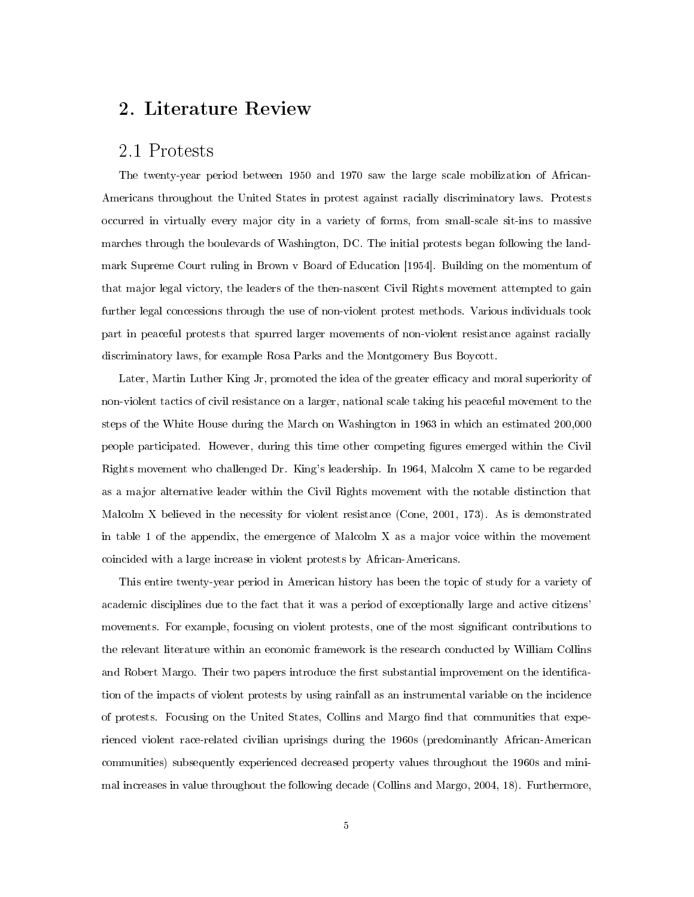#### 2. Literature Review

#### 2.1 Protests

The twenty-year period between 1950 and 1970 saw the large scale mobilization of African-Americans throughout the United States in protest against racially discriminatory laws. Protests occurred in virtually every major city in a variety of forms, from small-scale sit-ins to massive marches through the boulevards of Washington, DC. The initial protests began following the landmark Supreme Court ruling in Brown v Board of Education [1954]. Building on the momentum of that major legal victory, the leaders of the then-nascent Civil Rights movement attempted to gain further legal concessions through the use of non-violent protest methods. Various individuals took part in peaceful protests that spurred larger movements of non-violent resistance against racially discriminatory laws, for example Rosa Parks and the Montgomery Bus Boycott.

Later, Martin Luther King Jr, promoted the idea of the greater efficacy and moral superiority of non-violent tactics of civil resistance on a larger, national scale taking his peaceful movement to the steps of the White House during the March on Washington in 1963 in which an estimated 200,000 people participated. However, during this time other competing figures emerged within the Civil Rights movement who challenged Dr. King's leadership. In 1964, Malcolm X came to be regarded as a major alternative leader within the Civil Rights movement with the notable distinction that Malcolm X believed in the necessity for violent resistance (Cone, 2001, 173). As is demonstrated in table 1 of the appendix, the emergence of Malcolm X as a major voice within the movement coincided with a large increase in violent protests by African-Americans.

This entire twenty-year period in American history has been the topic of study for a variety of academic disciplines due to the fact that it was a period of exceptionally large and active citizens' movements. For example, focusing on violent protests, one of the most significant contributions to the relevant literature within an economic framework is the research conducted by William Collins and Robert Margo. Their two papers introduce the first substantial improvement on the identification of the impacts of violent protests by using rainfall as an instrumental variable on the incidence of protests. Focusing on the United States, Collins and Margo find that communities that experienced violent race-related civilian uprisings during the 1960s (predominantly African-American communities) subsequently experienced decreased property values throughout the 1960s and minimal increases in value throughout the following decade (Collins and Margo, 2004, 18). Furthermore,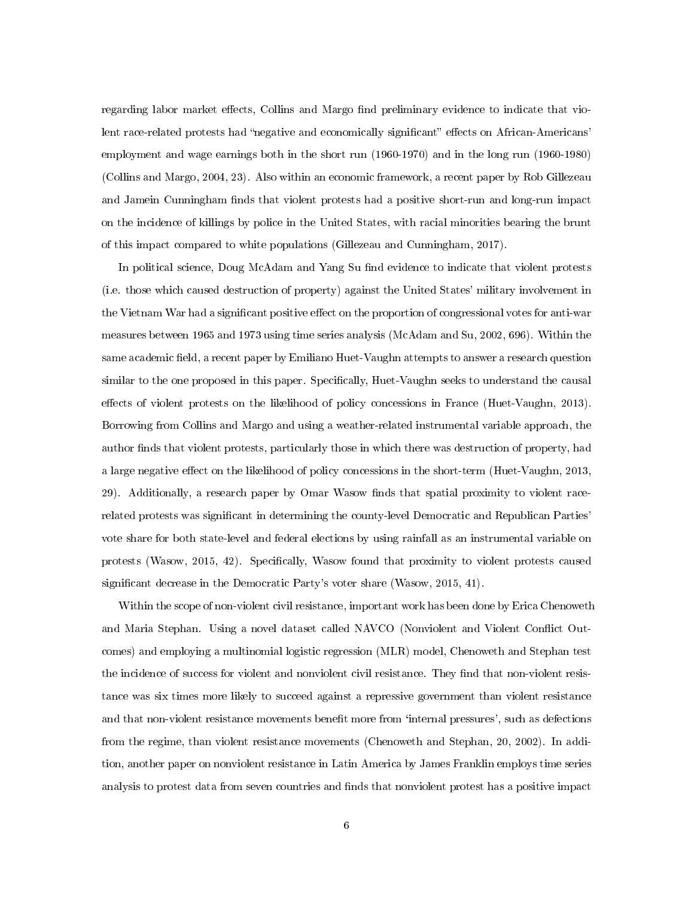regarding labor market effects, Collins and Margo find preliminary evidence to indicate that violent race-related protests had "negative and economically significant" effects on African-Americans' employment and wage earnings both in the short run (1960-1970) and in the long run (1960-1980) (Collins and Margo, 2004, 23). Also within an economic framework, a recent paper by Rob Gillezeau and Jamein Cunningham finds that violent protests had a positive short-run and long-run impact on the incidence of killings by police in the United States, with racial minorities bearing the brunt of this impact compared to white populations (Gillezeau and Cunningham, 2017).

In political science, Doug McAdam and Yang Su find evidence to indicate that violent protests (i.e. those which caused destruction of property) against the United States' military involvement in the Vietnam War had a significant positive effect on the proportion of congressional votes for anti-war measures between 1965 and 1973 using time series analysis (McAdam and Su, 2002, 696). Within the same academic field, a recent paper by Emiliano Huet-Vaughn attempts to answer a research question similar to the one proposed in this paper. Specifically, Huet-Vaughn seeks to understand the causal effects of violent protests on the likelihood of policy concessions in France (Huet-Vaughn, 2013). Borrowing from Collins and Margo and using a weather-related instrumental variable approach, the author finds that violent protests, particularly those in which there was destruction of property, had a large negative effect on the likelihood of policy concessions in the short-term (Huet-Vaughn, 2013, 29). Additionally, a research paper by Omar Wasow finds that spatial proximity to violent racerelated protests was signicant in determining the county-level Democratic and Republican Parties' vote share for both state-level and federal elections by using rainfall as an instrumental variable on protests (Wasow, 2015, 42). Specifically, Wasow found that proximity to violent protests caused significant decrease in the Democratic Party's voter share (Wasow, 2015, 41).

Within the scope of non-violent civil resistance, important work has been done by Erica Chenoweth and Maria Stephan. Using a novel dataset called NAVCO (Nonviolent and Violent Conflict Outcomes) and employing a multinomial logistic regression (MLR) model, Chenoweth and Stephan test the incidence of success for violent and nonviolent civil resistance. They find that non-violent resistance was six times more likely to succeed against a repressive government than violent resistance and that non-violent resistance movements benefit more from 'internal pressures', such as defections from the regime, than violent resistance movements (Chenoweth and Stephan, 20, 2002). In addition, another paper on nonviolent resistance in Latin America by James Franklin employs time series analysis to protest data from seven countries and finds that nonviolent protest has a positive impact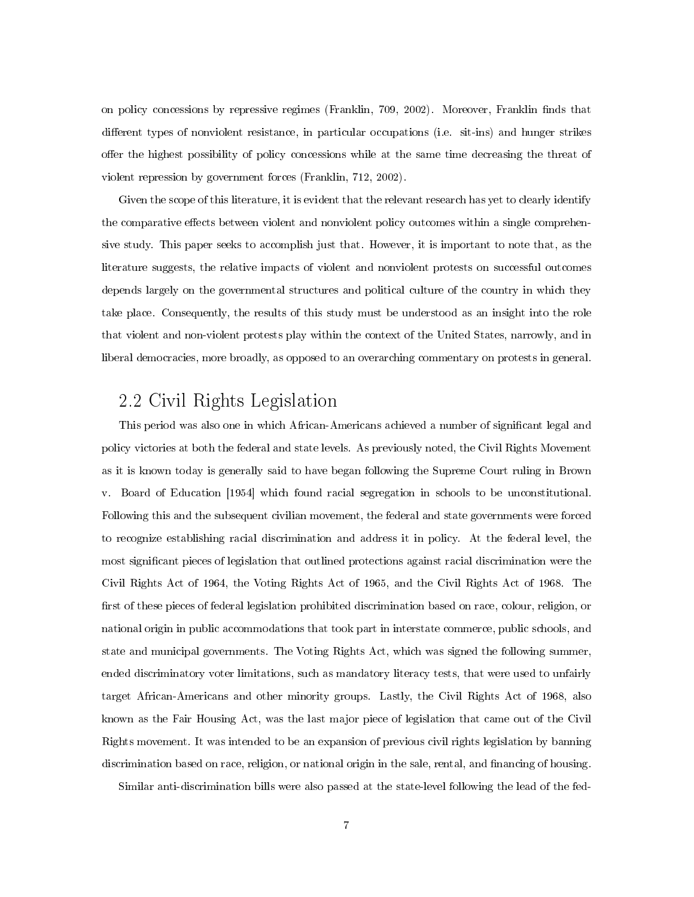on policy concessions by repressive regimes (Franklin, 709, 2002). Moreover, Franklin finds that different types of nonviolent resistance, in particular occupations (i.e. sit-ins) and hunger strikes offer the highest possibility of policy concessions while at the same time decreasing the threat of violent repression by government forces (Franklin, 712, 2002).

Given the scope of this literature, it is evident that the relevant research has yet to clearly identify the comparative effects between violent and nonviolent policy outcomes within a single comprehensive study. This paper seeks to accomplish just that. However, it is important to note that, as the literature suggests, the relative impacts of violent and nonviolent protests on successful outcomes depends largely on the governmental structures and political culture of the country in which they take place. Consequently, the results of this study must be understood as an insight into the role that violent and non-violent protests play within the context of the United States, narrowly, and in liberal democracies, more broadly, as opposed to an overarching commentary on protests in general.

## 2.2 Civil Rights Legislation

This period was also one in which African-Americans achieved a number of signicant legal and policy victories at both the federal and state levels. As previously noted, the Civil Rights Movement as it is known today is generally said to have began following the Supreme Court ruling in Brown v. Board of Education [1954] which found racial segregation in schools to be unconstitutional. Following this and the subsequent civilian movement, the federal and state governments were forced to recognize establishing racial discrimination and address it in policy. At the federal level, the most signicant pieces of legislation that outlined protections against racial discrimination were the Civil Rights Act of 1964, the Voting Rights Act of 1965, and the Civil Rights Act of 1968. The first of these pieces of federal legislation prohibited discrimination based on race, colour, religion, or national origin in public accommodations that took part in interstate commerce, public schools, and state and municipal governments. The Voting Rights Act, which was signed the following summer, ended discriminatory voter limitations, such as mandatory literacy tests, that were used to unfairly target African-Americans and other minority groups. Lastly, the Civil Rights Act of 1968, also known as the Fair Housing Act, was the last major piece of legislation that came out of the Civil Rights movement. It was intended to be an expansion of previous civil rights legislation by banning discrimination based on race, religion, or national origin in the sale, rental, and financing of housing.

Similar anti-discrimination bills were also passed at the state-level following the lead of the fed-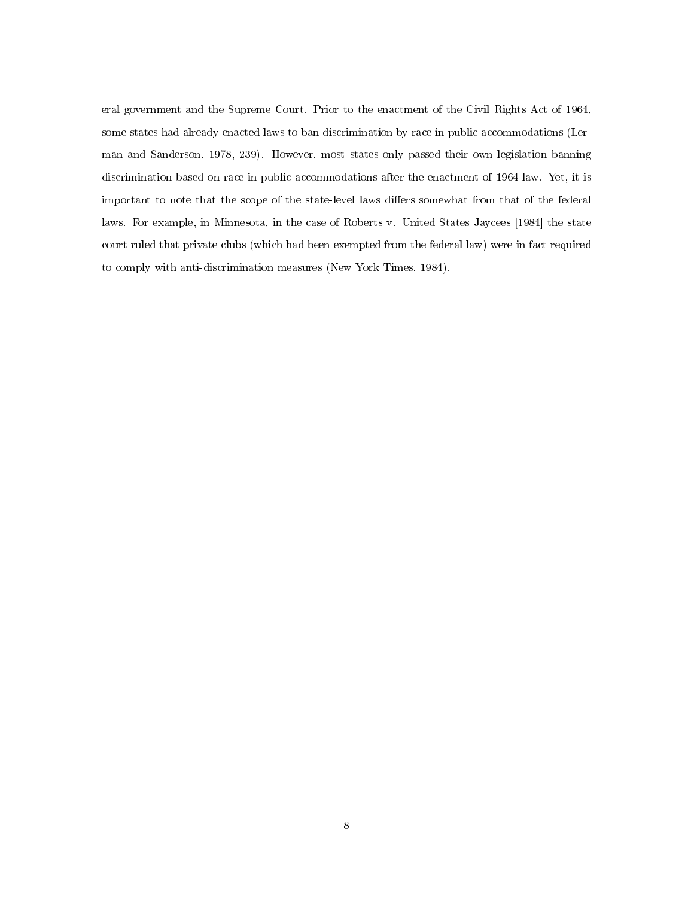eral government and the Supreme Court. Prior to the enactment of the Civil Rights Act of 1964, some states had already enacted laws to ban discrimination by race in public accommodations (Lerman and Sanderson, 1978, 239). However, most states only passed their own legislation banning discrimination based on race in public accommodations after the enactment of 1964 law. Yet, it is important to note that the scope of the state-level laws differs somewhat from that of the federal laws. For example, in Minnesota, in the case of Roberts v. United States Jaycees [1984] the state court ruled that private clubs (which had been exempted from the federal law) were in fact required to comply with anti-discrimination measures (New York Times, 1984).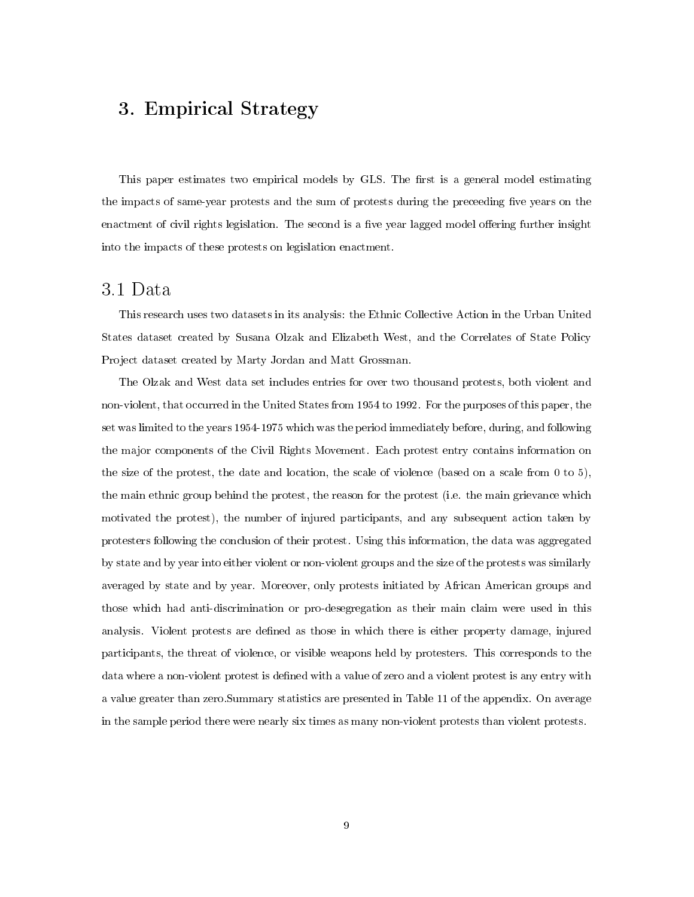#### 3. Empirical Strategy

This paper estimates two empirical models by GLS. The first is a general model estimating the impacts of same-year protests and the sum of protests during the preceeding five years on the enactment of civil rights legislation. The second is a five year lagged model offering further insight into the impacts of these protests on legislation enactment.

#### 3.1 Data

This research uses two datasets in its analysis: the Ethnic Collective Action in the Urban United States dataset created by Susana Olzak and Elizabeth West, and the Correlates of State Policy Project dataset created by Marty Jordan and Matt Grossman.

The Olzak and West data set includes entries for over two thousand protests, both violent and non-violent, that occurred in the United States from 1954 to 1992. For the purposes of this paper, the set was limited to the years 1954-1975 which was the period immediately before, during, and following the major components of the Civil Rights Movement. Each protest entry contains information on the size of the protest, the date and location, the scale of violence (based on a scale from  $0$  to  $5$ ), the main ethnic group behind the protest, the reason for the protest (i.e. the main grievance which motivated the protest), the number of injured participants, and any subsequent action taken by protesters following the conclusion of their protest. Using this information, the data was aggregated by state and by year into either violent or non-violent groups and the size of the protests was similarly averaged by state and by year. Moreover, only protests initiated by African American groups and those which had anti-discrimination or pro-desegregation as their main claim were used in this analysis. Violent protests are defined as those in which there is either property damage, injured participants, the threat of violence, or visible weapons held by protesters. This corresponds to the data where a non-violent protest is defined with a value of zero and a violent protest is any entry with a value greater than zero.Summary statistics are presented in Table 11 of the appendix. On average in the sample period there were nearly six times as many non-violent protests than violent protests.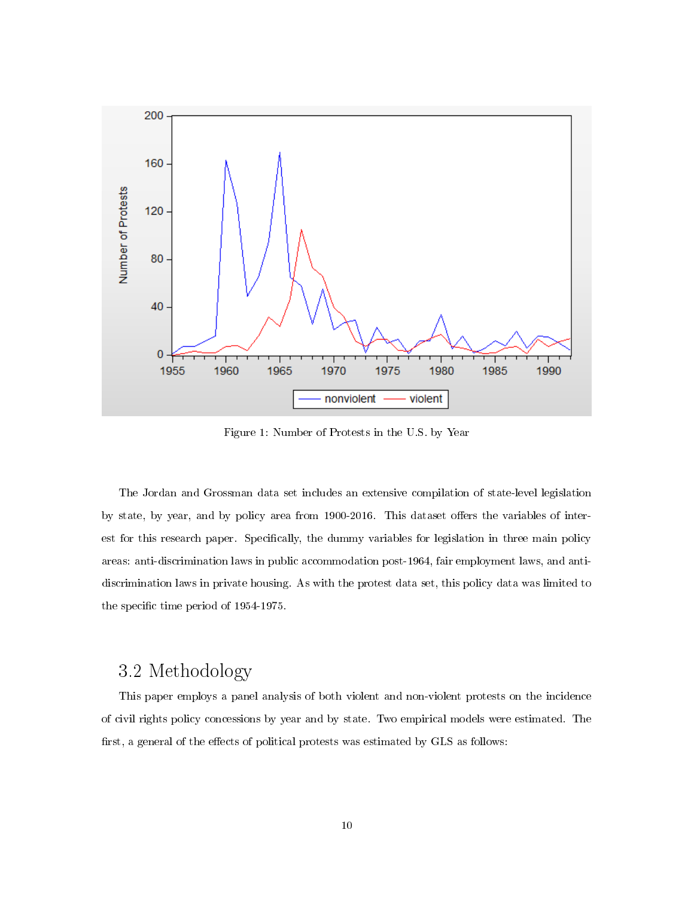

Figure 1: Number of Protests in the U.S. by Year

The Jordan and Grossman data set includes an extensive compilation of state-level legislation by state, by year, and by policy area from 1900-2016. This dataset offers the variables of interest for this research paper. Specifically, the dummy variables for legislation in three main policy areas: anti-discrimination laws in public accommodation post-1964, fair employment laws, and antidiscrimination laws in private housing. As with the protest data set, this policy data was limited to the specific time period of 1954-1975.

#### 3.2 Methodology

This paper employs a panel analysis of both violent and non-violent protests on the incidence of civil rights policy concessions by year and by state. Two empirical models were estimated. The first, a general of the effects of political protests was estimated by GLS as follows: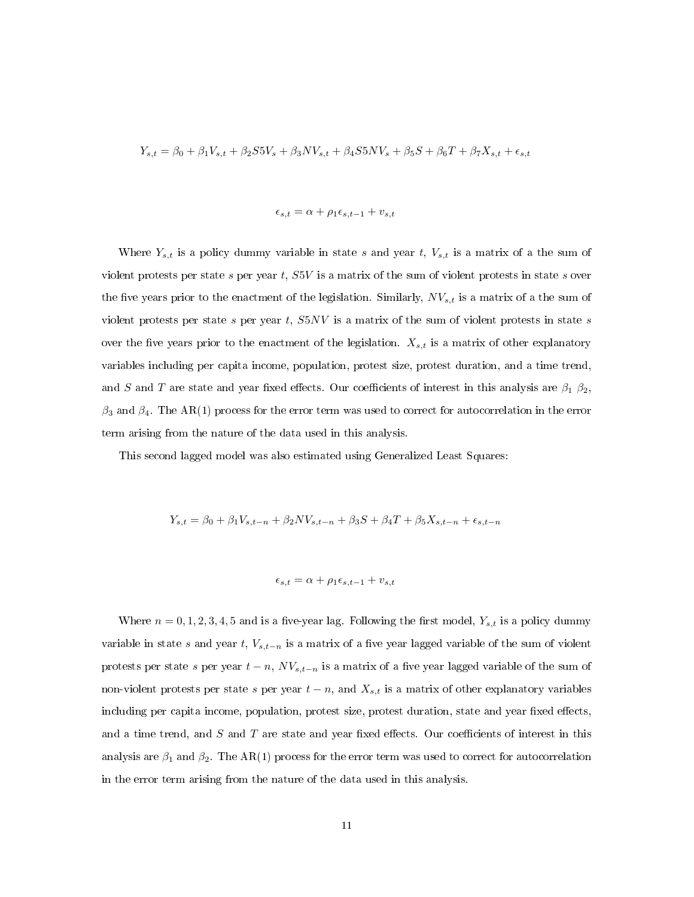$$
Y_{s,t} = \beta_0 + \beta_1 V_{s,t} + \beta_2 SV_s + \beta_3 NV_{s,t} + \beta_4 SSNV_s + \beta_5 S + \beta_6 T + \beta_7 X_{s,t} + \epsilon_{s,t}
$$

$$
\epsilon_{s,t} = \alpha + \rho_1 \epsilon_{s,t-1} + v_{s,t}
$$

Where  $Y_{s,t}$  is a policy dummy variable in state s and year t,  $V_{s,t}$  is a matrix of a the sum of violent protests per state s per year  $t$ ,  $S5V$  is a matrix of the sum of violent protests in state s over the five years prior to the enactment of the legislation. Similarly,  $NV_{s,t}$  is a matrix of a the sum of violent protests per state s per year t,  $SSNV$  is a matrix of the sum of violent protests in state s over the five years prior to the enactment of the legislation.  $X_{s,t}$  is a matrix of other explanatory variables including per capita income, population, protest size, protest duration, and a time trend, and S and T are state and year fixed effects. Our coefficients of interest in this analysis are  $\beta_1$   $\beta_2$ ,  $\beta_3$  and  $\beta_4$ . The AR(1) process for the error term was used to correct for autocorrelation in the error term arising from the nature of the data used in this analysis.

This second lagged model was also estimated using Generalized Least Squares:

$$
Y_{s,t} = \beta_0 + \beta_1 V_{s,t-n} + \beta_2 NV_{s,t-n} + \beta_3 S + \beta_4 T + \beta_5 X_{s,t-n} + \epsilon_{s,t-n}
$$

$$
\epsilon_{s,t} = \alpha + \rho_1 \epsilon_{s,t-1} + v_{s,t}
$$

Where  $n = 0, 1, 2, 3, 4, 5$  and is a five-year lag. Following the first model,  $Y_{s,t}$  is a policy dummy variable in state s and year t,  $V_{s,t-n}$  is a matrix of a five year lagged variable of the sum of violent protests per state s per year  $t - n$ ,  $NV_{s,t-n}$  is a matrix of a five year lagged variable of the sum of non-violent protests per state s per year  $t - n$ , and  $X_{s,t}$  is a matrix of other explanatory variables including per capita income, population, protest size, protest duration, state and year fixed effects, and a time trend, and  $S$  and  $T$  are state and year fixed effects. Our coefficients of interest in this analysis are  $\beta_1$  and  $\beta_2$ . The AR(1) process for the error term was used to correct for autocorrelation in the error term arising from the nature of the data used in this analysis.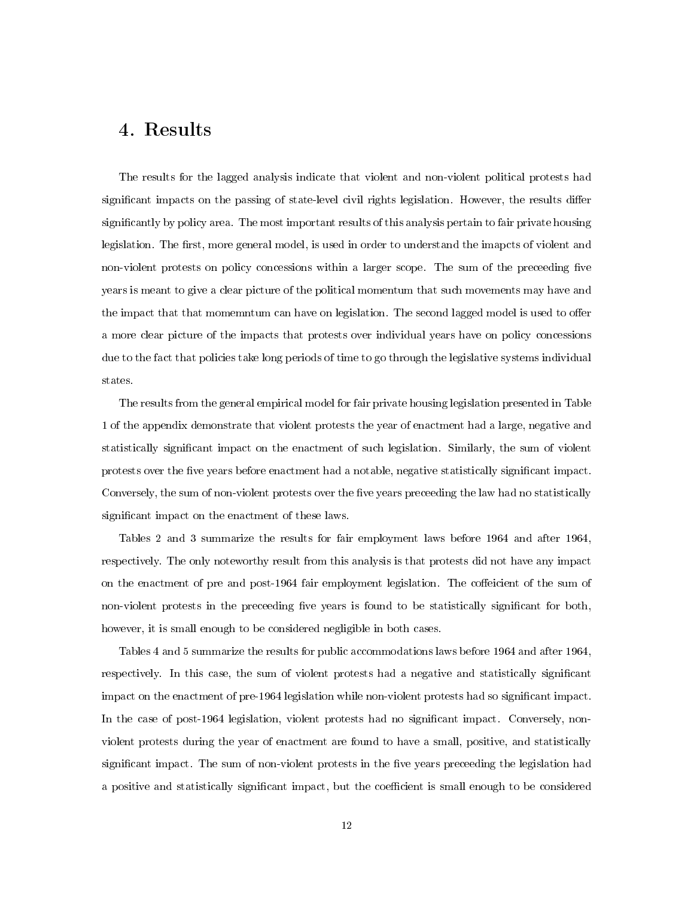## 4. Results

The results for the lagged analysis indicate that violent and non-violent political protests had significant impacts on the passing of state-level civil rights legislation. However, the results differ significantly by policy area. The most important results of this analysis pertain to fair private housing legislation. The first, more general model, is used in order to understand the imapcts of violent and non-violent protests on policy concessions within a larger scope. The sum of the preceeding five years is meant to give a clear picture of the political momentum that such movements may have and the impact that that momemntum can have on legislation. The second lagged model is used to offer a more clear picture of the impacts that protests over individual years have on policy concessions due to the fact that policies take long periods of time to go through the legislative systems individual states.

The results from the general empirical model for fair private housing legislation presented in Table 1 of the appendix demonstrate that violent protests the year of enactment had a large, negative and statistically signicant impact on the enactment of such legislation. Similarly, the sum of violent protests over the five years before enactment had a notable, negative statistically significant impact. Conversely, the sum of non-violent protests over the five years preceeding the law had no statistically significant impact on the enactment of these laws.

Tables 2 and 3 summarize the results for fair employment laws before 1964 and after 1964, respectively. The only noteworthy result from this analysis is that protests did not have any impact on the enactment of pre and post-1964 fair employment legislation. The coffeicient of the sum of non-violent protests in the preceeding five years is found to be statistically significant for both, however, it is small enough to be considered negligible in both cases.

Tables 4 and 5 summarize the results for public accommodations laws before 1964 and after 1964, respectively. In this case, the sum of violent protests had a negative and statistically signicant impact on the enactment of pre-1964 legislation while non-violent protests had so significant impact. In the case of post-1964 legislation, violent protests had no significant impact. Conversely, nonviolent protests during the year of enactment are found to have a small, positive, and statistically significant impact. The sum of non-violent protests in the five years preceeding the legislation had a positive and statistically significant impact, but the coefficient is small enough to be considered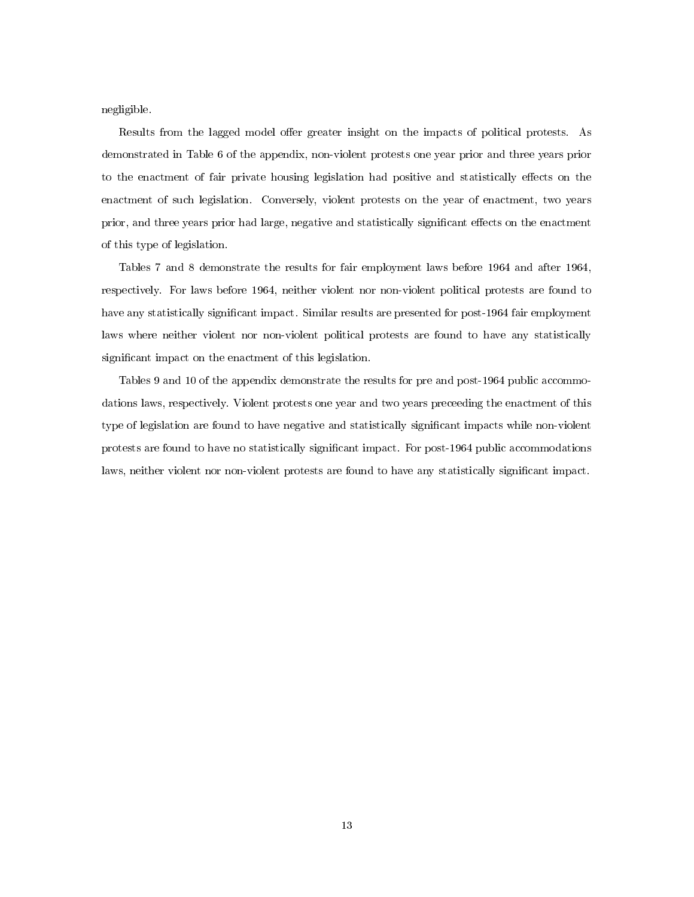negligible.

Results from the lagged model offer greater insight on the impacts of political protests. As demonstrated in Table 6 of the appendix, non-violent protests one year prior and three years prior to the enactment of fair private housing legislation had positive and statistically effects on the enactment of such legislation. Conversely, violent protests on the year of enactment, two years prior, and three years prior had large, negative and statistically significant effects on the enactment of this type of legislation.

Tables 7 and 8 demonstrate the results for fair employment laws before 1964 and after 1964, respectively. For laws before 1964, neither violent nor non-violent political protests are found to have any statistically significant impact. Similar results are presented for post-1964 fair employment laws where neither violent nor non-violent political protests are found to have any statistically significant impact on the enactment of this legislation.

Tables 9 and 10 of the appendix demonstrate the results for pre and post-1964 public accommodations laws, respectively. Violent protests one year and two years preceeding the enactment of this type of legislation are found to have negative and statistically signicant impacts while non-violent protests are found to have no statistically significant impact. For post-1964 public accommodations laws, neither violent nor non-violent protests are found to have any statistically significant impact.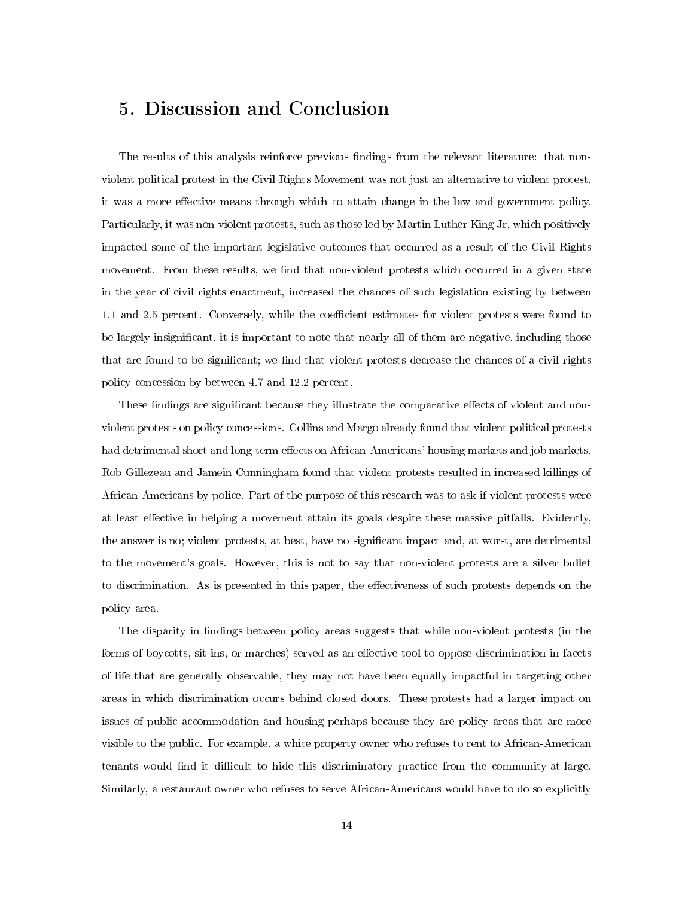### 5. Discussion and Conclusion

The results of this analysis reinforce previous findings from the relevant literature: that nonviolent political protest in the Civil Rights Movement was not just an alternative to violent protest, it was a more effective means through which to attain change in the law and government policy. Particularly, it was non-violent protests, such as those led by Martin Luther King Jr, which positively impacted some of the important legislative outcomes that occurred as a result of the Civil Rights movement. From these results, we find that non-violent protests which occurred in a given state in the year of civil rights enactment, increased the chances of such legislation existing by between 1.1 and 2.5 percent. Conversely, while the coefficient estimates for violent protests were found to be largely insignicant, it is important to note that nearly all of them are negative, including those that are found to be significant; we find that violent protests decrease the chances of a civil rights policy concession by between 4.7 and 12.2 percent.

These findings are significant because they illustrate the comparative effects of violent and nonviolent protests on policy concessions. Collins and Margo already found that violent political protests had detrimental short and long-term effects on African-Americans' housing markets and job markets. Rob Gillezeau and Jamein Cunningham found that violent protests resulted in increased killings of African-Americans by police. Part of the purpose of this research was to ask if violent protests were at least effective in helping a movement attain its goals despite these massive pitfalls. Evidently, the answer is no; violent protests, at best, have no signicant impact and, at worst, are detrimental to the movement's goals. However, this is not to say that non-violent protests are a silver bullet to discrimination. As is presented in this paper, the effectiveness of such protests depends on the policy area.

The disparity in findings between policy areas suggests that while non-violent protests (in the forms of boycotts, sit-ins, or marches) served as an effective tool to oppose discrimination in facets of life that are generally observable, they may not have been equally impactful in targeting other areas in which discrimination occurs behind closed doors. These protests had a larger impact on issues of public accommodation and housing perhaps because they are policy areas that are more visible to the public. For example, a white property owner who refuses to rent to African-American tenants would find it difficult to hide this discriminatory practice from the community-at-large. Similarly, a restaurant owner who refuses to serve African-Americans would have to do so explicitly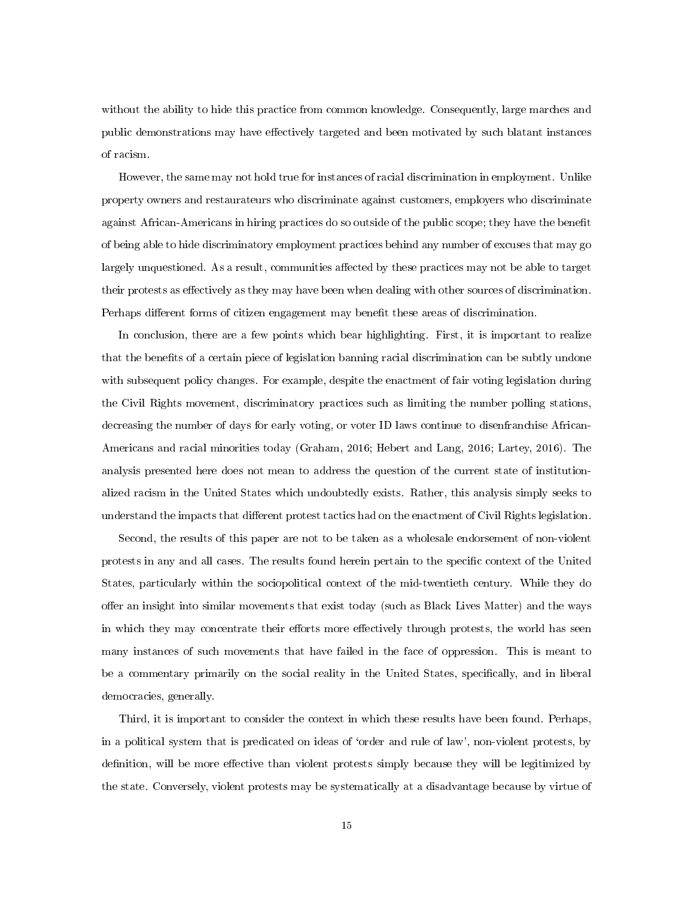without the ability to hide this practice from common knowledge. Consequently, large marches and public demonstrations may have effectively targeted and been motivated by such blatant instances of racism.

However, the same may not hold true for instances of racial discrimination in employment. Unlike property owners and restaurateurs who discriminate against customers, employers who discriminate against African-Americans in hiring practices do so outside of the public scope; they have the benefit of being able to hide discriminatory employment practices behind any number of excuses that may go largely unquestioned. As a result, communities affected by these practices may not be able to target their protests as effectively as they may have been when dealing with other sources of discrimination. Perhaps different forms of citizen engagement may benefit these areas of discrimination.

In conclusion, there are a few points which bear highlighting. First, it is important to realize that the benefits of a certain piece of legislation banning racial discrimination can be subtly undone with subsequent policy changes. For example, despite the enactment of fair voting legislation during the Civil Rights movement, discriminatory practices such as limiting the number polling stations, decreasing the number of days for early voting, or voter ID laws continue to disenfranchise African-Americans and racial minorities today (Graham, 2016; Hebert and Lang, 2016; Lartey, 2016). The analysis presented here does not mean to address the question of the current state of institutionalized racism in the United States which undoubtedly exists. Rather, this analysis simply seeks to understand the impacts that different protest tactics had on the enactment of Civil Rights legislation.

Second, the results of this paper are not to be taken as a wholesale endorsement of non-violent protests in any and all cases. The results found herein pertain to the specific context of the United States, particularly within the sociopolitical context of the mid-twentieth century. While they do offer an insight into similar movements that exist today (such as Black Lives Matter) and the ways in which they may concentrate their efforts more effectively through protests, the world has seen many instances of such movements that have failed in the face of oppression. This is meant to be a commentary primarily on the social reality in the United States, specifically, and in liberal democracies, generally.

Third, it is important to consider the context in which these results have been found. Perhaps, in a political system that is predicated on ideas of 'order and rule of law', non-violent protests, by definition, will be more effective than violent protests simply because they will be legitimized by the state. Conversely, violent protests may be systematically at a disadvantage because by virtue of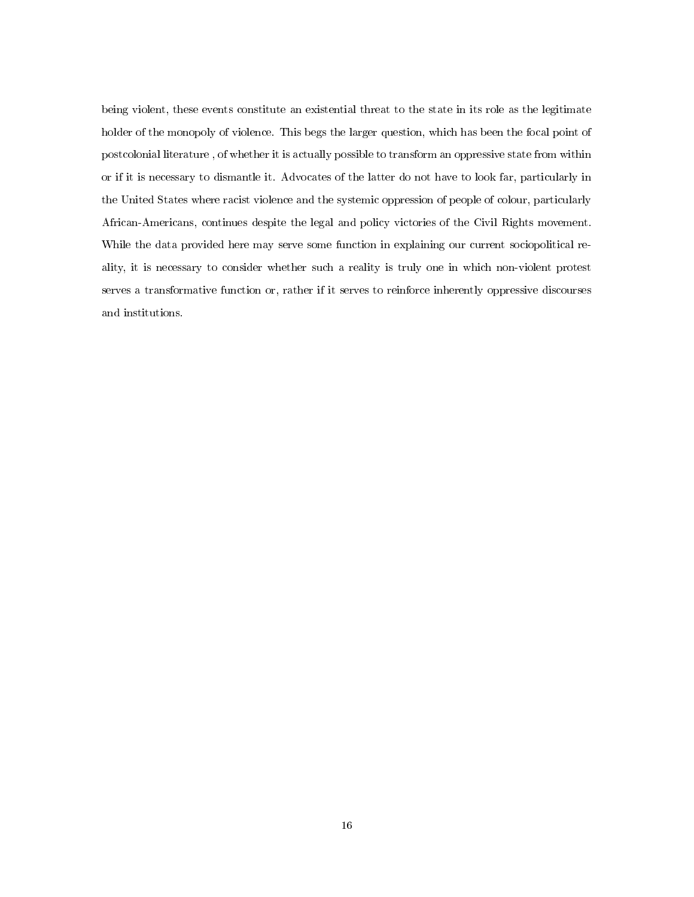being violent, these events constitute an existential threat to the state in its role as the legitimate holder of the monopoly of violence. This begs the larger question, which has been the focal point of postcolonial literature , of whether it is actually possible to transform an oppressive state from within or if it is necessary to dismantle it. Advocates of the latter do not have to look far, particularly in the United States where racist violence and the systemic oppression of people of colour, particularly African-Americans, continues despite the legal and policy victories of the Civil Rights movement. While the data provided here may serve some function in explaining our current sociopolitical reality, it is necessary to consider whether such a reality is truly one in which non-violent protest serves a transformative function or, rather if it serves to reinforce inherently oppressive discourses and institutions.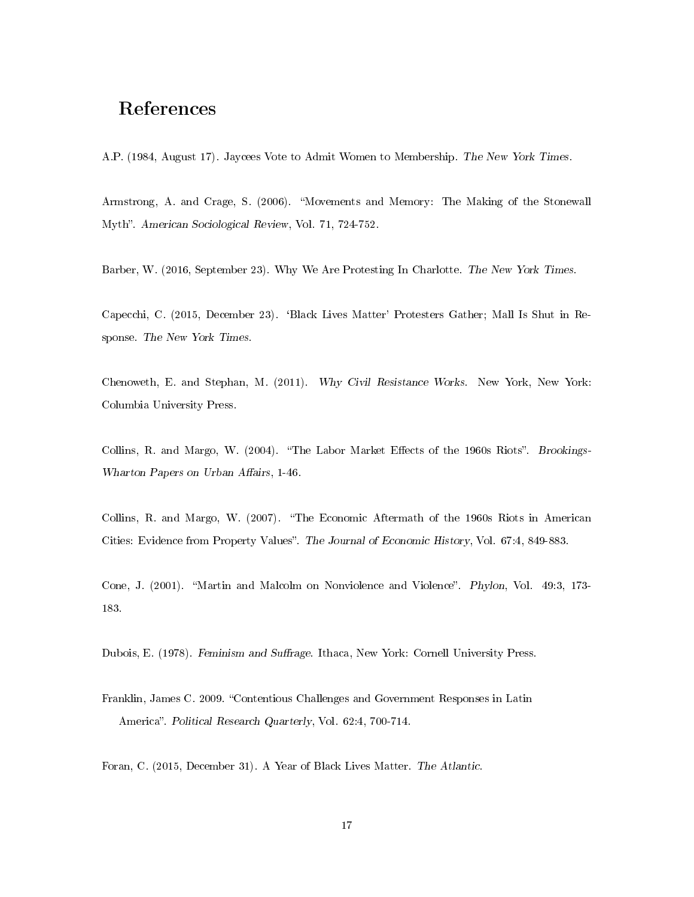### References

A.P. (1984, August 17). Jaycees Vote to Admit Women to Membership. The New York Times.

Armstrong, A. and Crage, S. (2006). "Movements and Memory: The Making of the Stonewall Myth". American Sociological Review, Vol. 71, 724-752.

Barber, W. (2016, September 23). Why We Are Protesting In Charlotte. The New York Times.

Capecchi, C. (2015, December 23). `Black Lives Matter' Protesters Gather; Mall Is Shut in Response. The New York Times.

Chenoweth, E. and Stephan, M. (2011). Why Civil Resistance Works. New York, New York: Columbia University Press.

Collins, R. and Margo, W.  $(2004)$ . "The Labor Market Effects of the 1960s Riots". Brookings-Wharton Papers on Urban Affairs, 1-46.

Collins, R. and Margo, W. (2007). The Economic Aftermath of the 1960s Riots in American Cities: Evidence from Property Values". The Journal of Economic History, Vol. 67:4, 849-883.

Cone, J. (2001). "Martin and Malcolm on Nonviolence and Violence". Phylon, Vol. 49:3, 173-183.

Dubois, E. (1978). Feminism and Suffrage. Ithaca, New York: Cornell University Press.

Franklin, James C. 2009. "Contentious Challenges and Government Responses in Latin America". Political Research Quarterly, Vol. 62:4, 700-714.

Foran, C. (2015, December 31). A Year of Black Lives Matter. The Atlantic.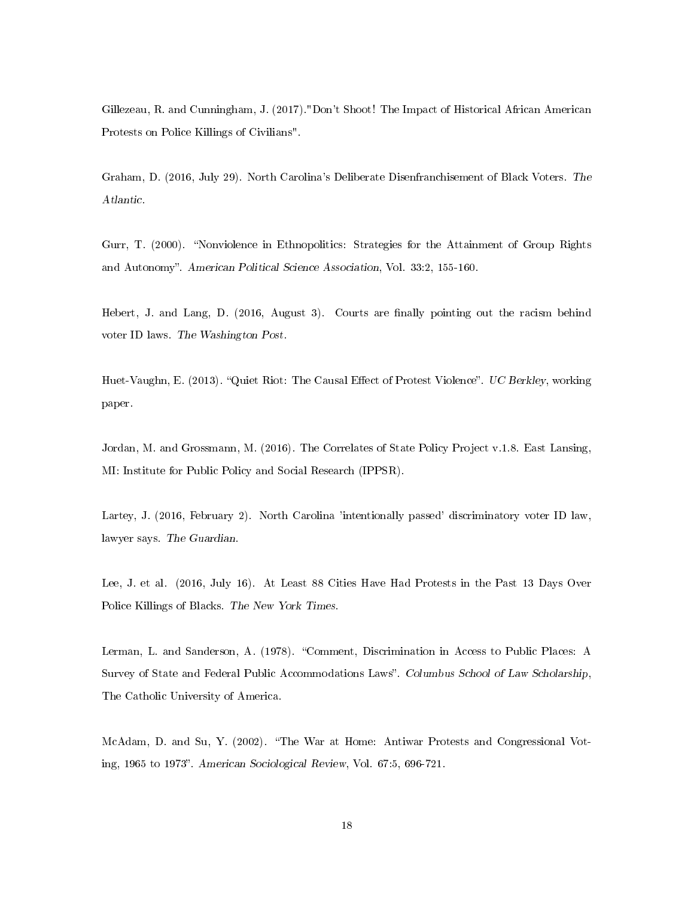Gillezeau, R. and Cunningham, J. (2017)."Don't Shoot! The Impact of Historical African American Protests on Police Killings of Civilians".

Graham, D. (2016, July 29). North Carolina's Deliberate Disenfranchisement of Black Voters. The Atlantic.

Gurr, T. (2000). "Nonviolence in Ethnopolitics: Strategies for the Attainment of Group Rights and Autonomy". American Political Science Association, Vol. 33:2, 155-160.

Hebert, J. and Lang, D. (2016, August 3). Courts are finally pointing out the racism behind voter ID laws. The Washington Post.

Huet-Vaughn, E. (2013). "Quiet Riot: The Causal Effect of Protest Violence". UC Berkley, working paper.

Jordan, M. and Grossmann, M. (2016). The Correlates of State Policy Project v.1.8. East Lansing, MI: Institute for Public Policy and Social Research (IPPSR).

Lartey, J. (2016, February 2). North Carolina 'intentionally passed' discriminatory voter ID law, lawyer says. The Guardian.

Lee, J. et al. (2016, July 16). At Least 88 Cities Have Had Protests in the Past 13 Days Over Police Killings of Blacks. The New York Times.

Lerman, L. and Sanderson, A. (1978). "Comment, Discrimination in Access to Public Places: A Survey of State and Federal Public Accommodations Laws". Columbus School of Law Scholarship, The Catholic University of America.

McAdam, D. and Su, Y. (2002). "The War at Home: Antiwar Protests and Congressional Voting, 1965 to 1973. American Sociological Review, Vol. 67:5, 696-721.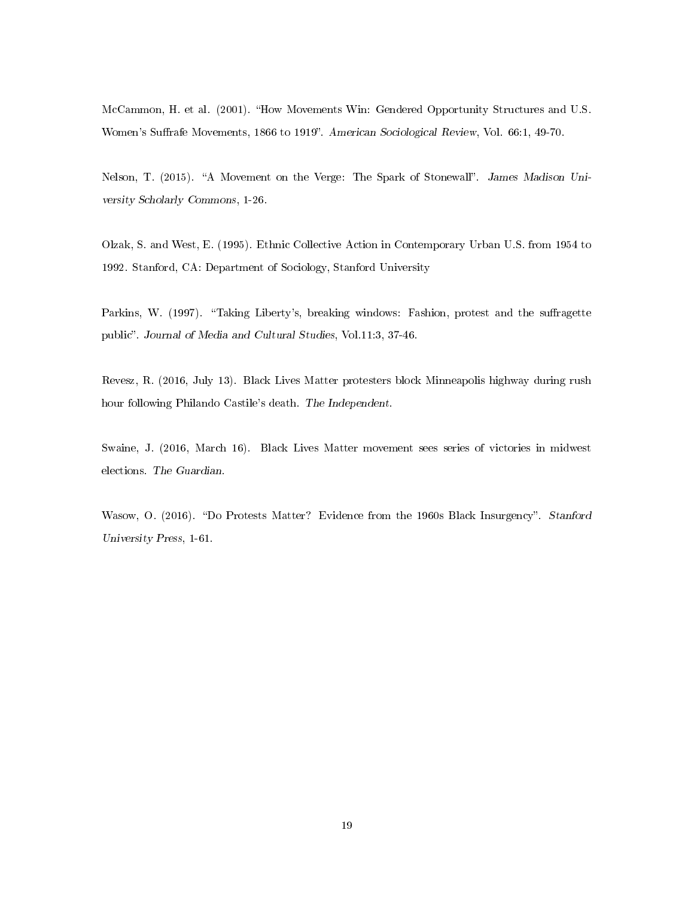McCammon, H. et al. (2001). "How Movements Win: Gendered Opportunity Structures and U.S. Women's Suffrafe Movements, 1866 to 1919". American Sociological Review, Vol. 66:1, 49-70.

Nelson, T. (2015). "A Movement on the Verge: The Spark of Stonewall". James Madison University Scholarly Commons, 1-26.

Olzak, S. and West, E. (1995). Ethnic Collective Action in Contemporary Urban U.S. from 1954 to 1992. Stanford, CA: Department of Sociology, Stanford University

Parkins, W. (1997). "Taking Liberty's, breaking windows: Fashion, protest and the suffragette public". Journal of Media and Cultural Studies, Vol.11:3, 37-46.

Revesz, R. (2016, July 13). Black Lives Matter protesters block Minneapolis highway during rush hour following Philando Castile's death. The Independent.

Swaine, J. (2016, March 16). Black Lives Matter movement sees series of victories in midwest elections. The Guardian.

Wasow, O. (2016). "Do Protests Matter? Evidence from the 1960s Black Insurgency". Stanford University Press, 1-61.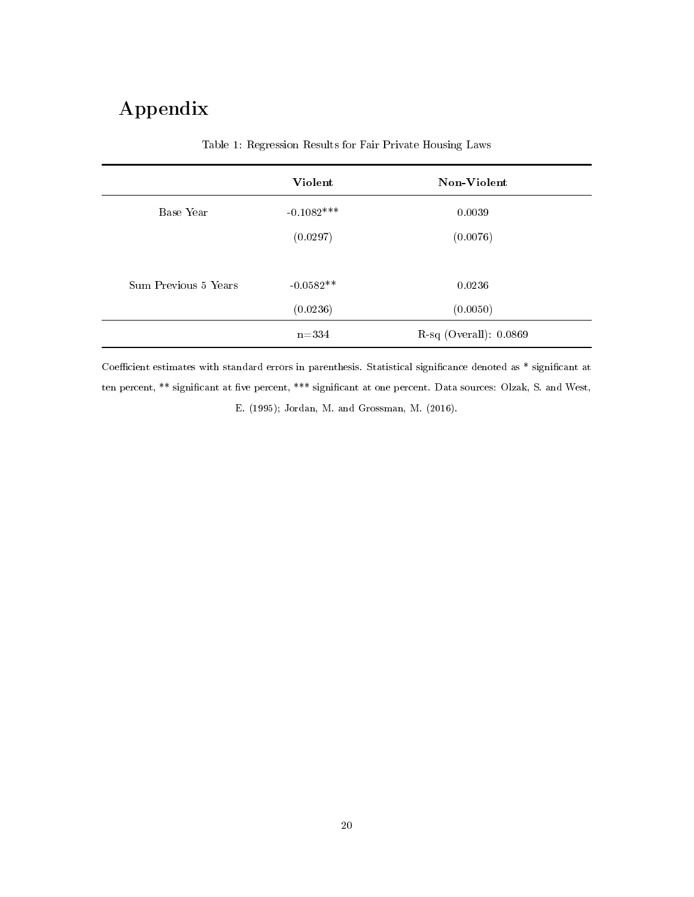# Appendix

|                      | <b>Violent</b> | Non-Violent              |
|----------------------|----------------|--------------------------|
| Base Year            | $-0.1082***$   | 0.0039                   |
|                      | (0.0297)       | (0.0076)                 |
|                      |                |                          |
| Sum Previous 5 Years | $-0.0582**$    | 0.0236                   |
|                      | (0.0236)       | (0.0050)                 |
|                      | $n = 334$      | $R-sq$ (Overall): 0.0869 |

Table 1: Regression Results for Fair Private Housing Laws

Coefficient estimates with standard errors in parenthesis. Statistical significance denoted as \* significant at ten percent, \*\* significant at five percent, \*\*\* significant at one percent. Data sources: Olzak, S. and West, E. (1995); Jordan, M. and Grossman, M. (2016).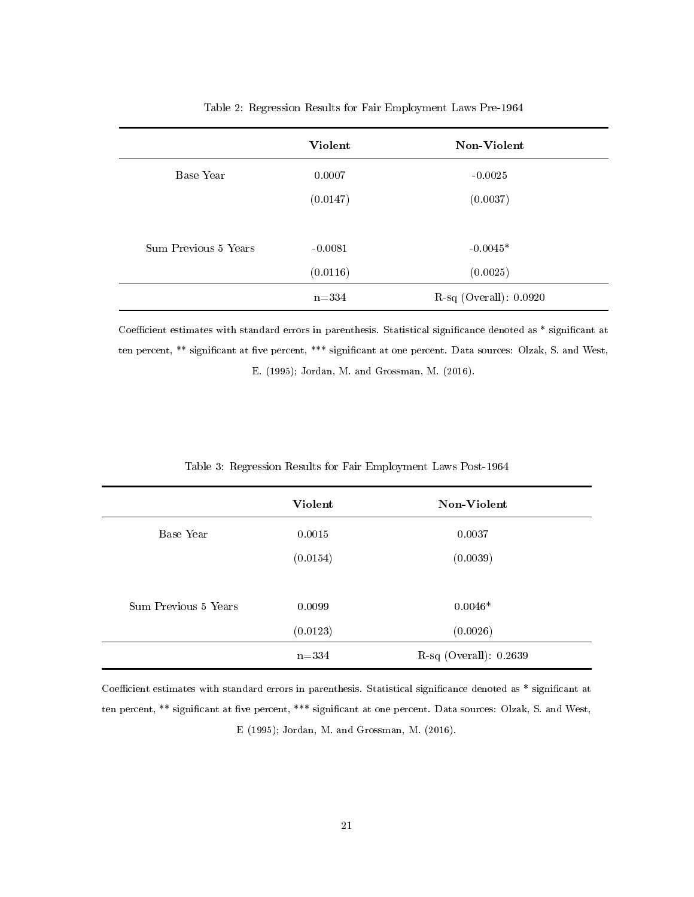|                      | <b>Violent</b> | Non-Violent                |
|----------------------|----------------|----------------------------|
| Base Year            | 0.0007         | $-0.0025$                  |
|                      | (0.0147)       | (0.0037)                   |
|                      |                |                            |
| Sum Previous 5 Years | $-0.0081$      | $-0.0045*$                 |
|                      | (0.0116)       | (0.0025)                   |
|                      | $n = 334$      | $R-sq$ (Overall): $0.0920$ |

Table 2: Regression Results for Fair Employment Laws Pre-1964

|                      | <b>Violent</b> | Non-Violent              |
|----------------------|----------------|--------------------------|
| Base Year            | 0.0015         | 0.0037                   |
|                      | (0.0154)       | (0.0039)                 |
|                      |                |                          |
| Sum Previous 5 Years | 0.0099         | $0.0046*$                |
|                      | (0.0123)       | (0.0026)                 |
|                      | $n = 334$      | $R-sq$ (Overall): 0.2639 |

Table 3: Regression Results for Fair Employment Laws Post-1964

Coefficient estimates with standard errors in parenthesis. Statistical significance denoted as \* significant at ten percent, \*\* significant at five percent, \*\*\* significant at one percent. Data sources: Olzak, S. and West, E (1995); Jordan, M. and Grossman, M. (2016).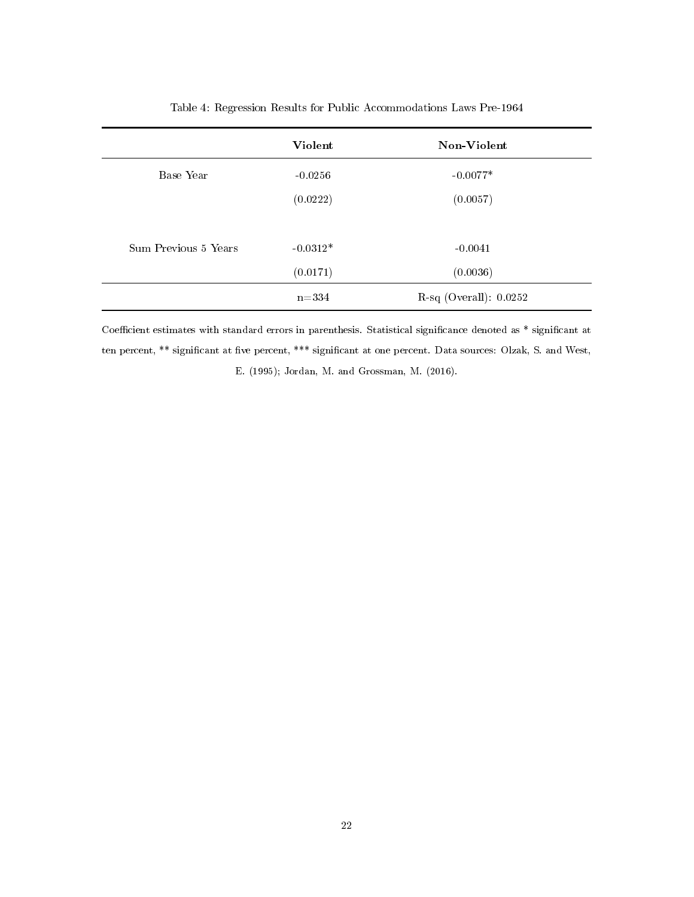|                      | <b>Violent</b> | Non-Violent                |
|----------------------|----------------|----------------------------|
| Base Year            | $-0.0256$      | $-0.0077*$                 |
|                      | (0.0222)       | (0.0057)                   |
|                      |                |                            |
| Sum Previous 5 Years | $-0.0312*$     | $-0.0041$                  |
|                      | (0.0171)       | (0.0036)                   |
|                      | $n = 334$      | $R-sq$ (Overall): $0.0252$ |

Table 4: Regression Results for Public Accommodations Laws Pre-1964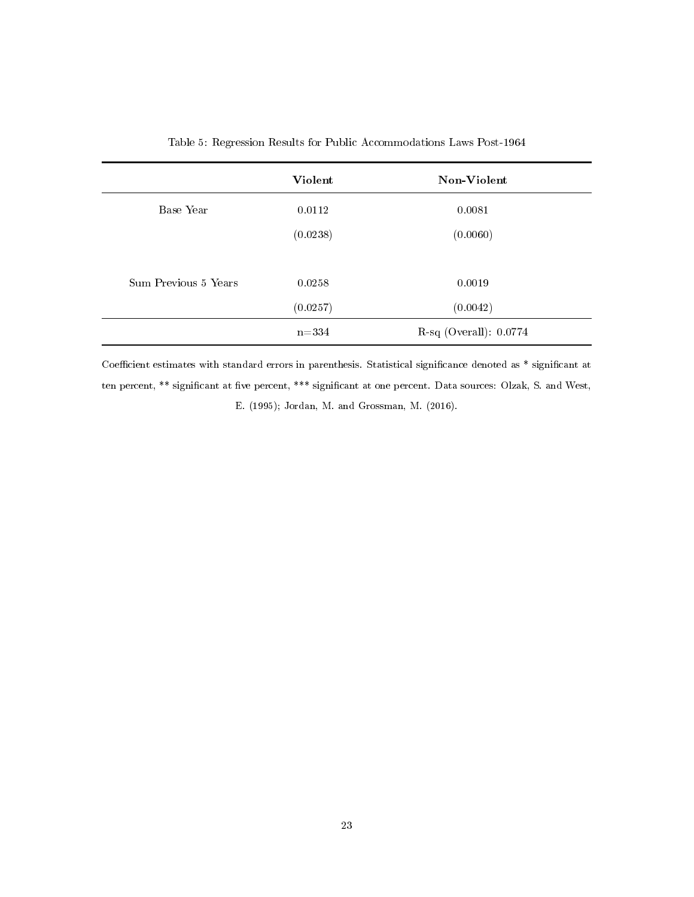|                      | <b>Violent</b> | Non-Violent                |
|----------------------|----------------|----------------------------|
| Base Year            | 0.0112         | 0.0081                     |
|                      | (0.0238)       | (0.0060)                   |
|                      |                |                            |
| Sum Previous 5 Years | 0.0258         | 0.0019                     |
|                      | (0.0257)       | (0.0042)                   |
|                      | $n = 334$      | $R-sq$ (Overall): $0.0774$ |

Table 5: Regression Results for Public Accommodations Laws Post-1964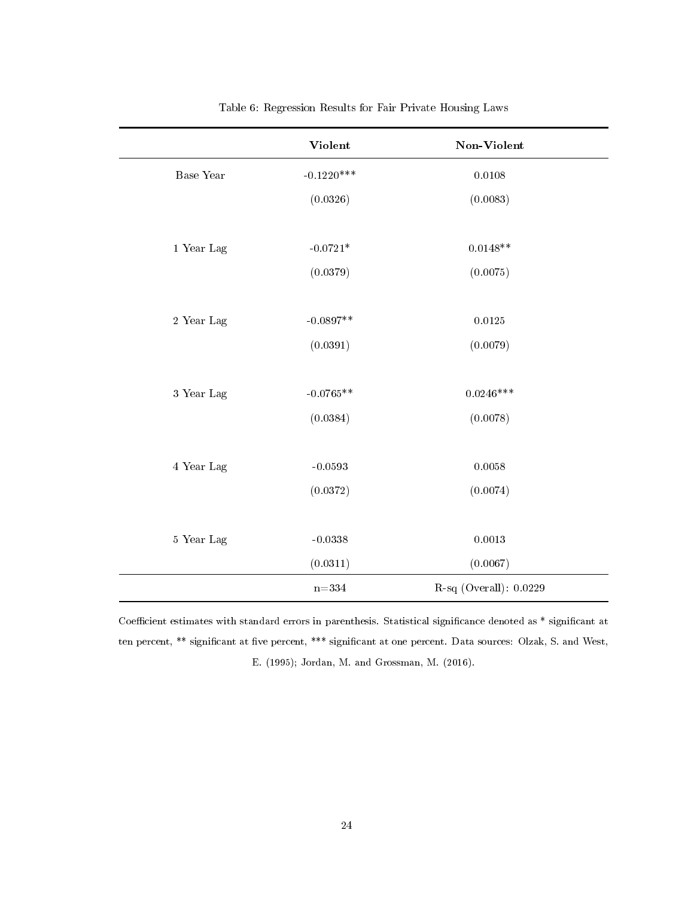|                    | Violent      | Non-Violent                 |
|--------------------|--------------|-----------------------------|
| Base Year          | $-0.1220***$ | 0.0108                      |
|                    | (0.0326)     | (0.0083)                    |
|                    |              |                             |
| $1$ Year $\rm Lag$ | $-0.0721*$   | $0.0148**$                  |
|                    | (0.0379)     | (0.0075)                    |
|                    |              |                             |
| $2$ Year Lag $\,$  | $-0.0897**$  | 0.0125                      |
|                    | (0.0391)     | (0.0079)                    |
|                    |              |                             |
| $3$ Year Lag $\,$  | $-0.0765**$  | $0.0246***$                 |
|                    | (0.0384)     | (0.0078)                    |
|                    |              |                             |
| 4 Year Lag         | $-0.0593$    | 0.0058                      |
|                    | (0.0372)     | (0.0074)                    |
|                    |              |                             |
| 5 Year Lag         | $-0.0338\,$  | $0.0013\,$                  |
|                    | (0.0311)     | (0.0067)                    |
|                    | $n=334$      | $R$ -sq (Overall): $0.0229$ |

Table 6: Regression Results for Fair Private Housing Laws

Coefficient estimates with standard errors in parenthesis. Statistical significance denoted as \* significant at ten percent, \*\* significant at five percent, \*\*\* significant at one percent. Data sources: Olzak, S. and West, E. (1995); Jordan, M. and Grossman, M. (2016).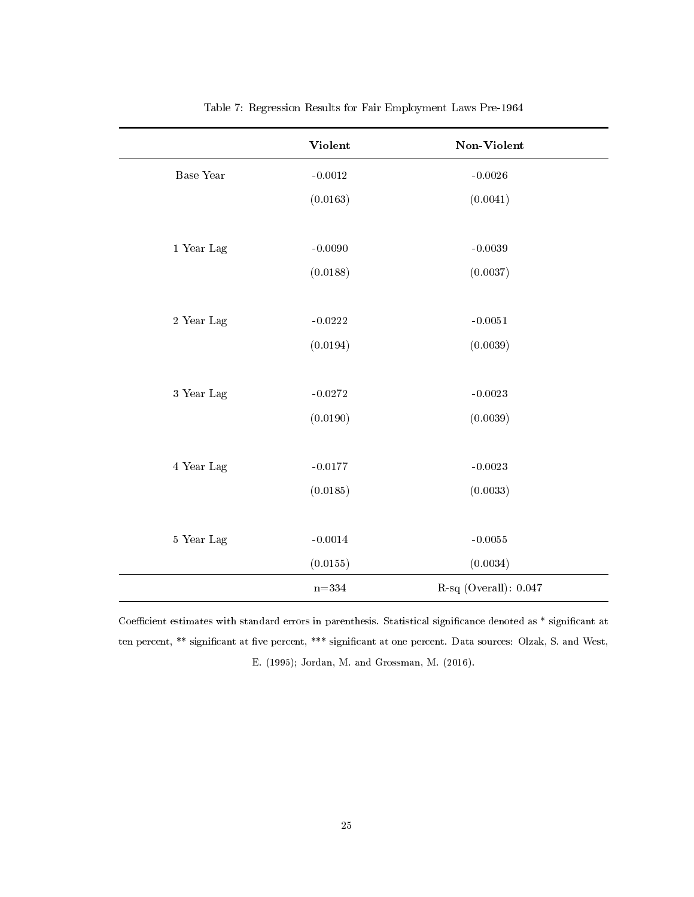|                   | Violent           | Non-Violent                |
|-------------------|-------------------|----------------------------|
| Base Year         | $-0.0012$         | $-0.0026$                  |
|                   | (0.0163)          | (0.0041)                   |
|                   |                   |                            |
| $1\,$ Year Lag    | $-0.0090$         | $-0.0039$                  |
|                   | (0.0188)          | (0.0037)                   |
|                   |                   |                            |
| $2$ Year Lag $\,$ | $\mbox{--}0.0222$ | $-0.0051$                  |
|                   | (0.0194)          | (0.0039)                   |
|                   |                   |                            |
| $3$ Year Lag $\,$ | $-0.0272$         | $-0.0023$                  |
|                   | (0.0190)          | (0.0039)                   |
|                   |                   |                            |
| $4$ Year Lag $\,$ | $\mbox{--}0.0177$ | $-0.0023$                  |
|                   | (0.0185)          | (0.0033)                   |
|                   |                   |                            |
| $5$ Year Lag $\,$ | $-0.0014$         | $-0.0055$                  |
|                   | (0.0155)          | (0.0034)                   |
|                   | $\sqrt{n}{=}334$  | $R$ -sq (Overall): $0.047$ |

Table 7: Regression Results for Fair Employment Laws Pre-1964

Coefficient estimates with standard errors in parenthesis. Statistical significance denoted as  $*$  significant at ten percent, \*\* significant at five percent, \*\*\* significant at one percent. Data sources: Olzak, S. and West, E. (1995); Jordan, M. and Grossman, M. (2016).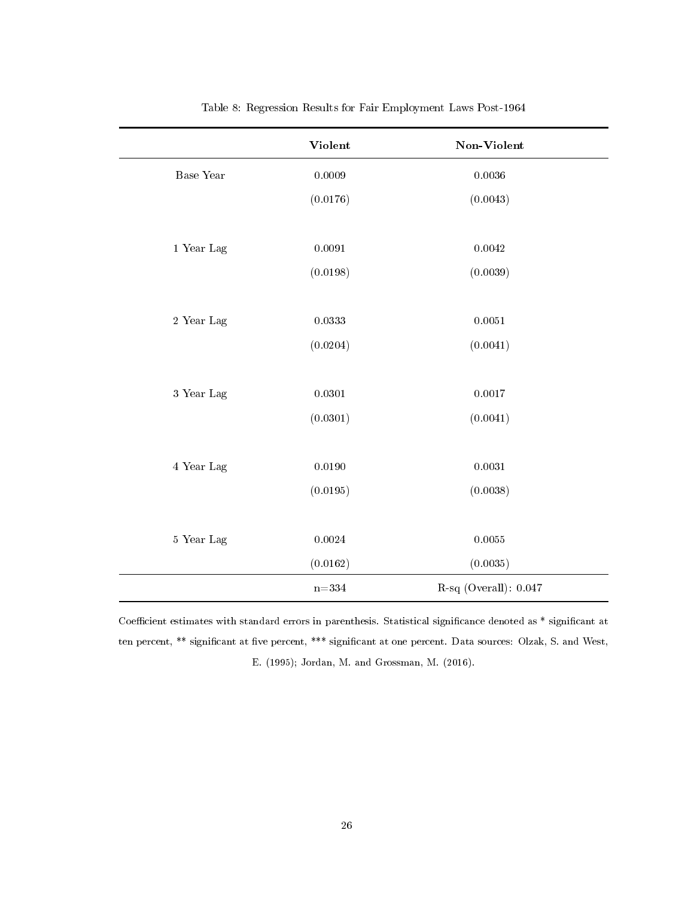|                    | <b>Violent</b>   | Non-Violent                |
|--------------------|------------------|----------------------------|
| Base Year          | 0.0009           | 0.0036                     |
|                    | (0.0176)         | (0.0043)                   |
|                    |                  |                            |
| $1$ Year $\rm Lag$ | $\rm 0.0091$     | 0.0042                     |
|                    | (0.0198)         | (0.0039)                   |
|                    |                  |                            |
| $2$ Year Lag $\,$  | $\rm 0.0333$     | 0.0051                     |
|                    | (0.0204)         | (0.0041)                   |
|                    |                  |                            |
| $3$ Year $\rm Lag$ | 0.0301           | 0.0017                     |
|                    | (0.0301)         | (0.0041)                   |
|                    |                  |                            |
| $4$ Year Lag $\,$  | $0.01\,90$       | 0.0031                     |
|                    | (0.0195)         | (0.0038)                   |
|                    |                  |                            |
| 5 Year Lag         | $\,0.0024\,$     | $0.0055\,$                 |
|                    | (0.0162)         | (0.0035)                   |
|                    | $\sqrt{n}{=}334$ | $R$ -sq (Overall): $0.047$ |

Table 8: Regression Results for Fair Employment Laws Post-1964

Coefficient estimates with standard errors in parenthesis. Statistical significance denoted as \* significant at ten percent, \*\* significant at five percent, \*\*\* significant at one percent. Data sources: Olzak, S. and West, E. (1995); Jordan, M. and Grossman, M. (2016).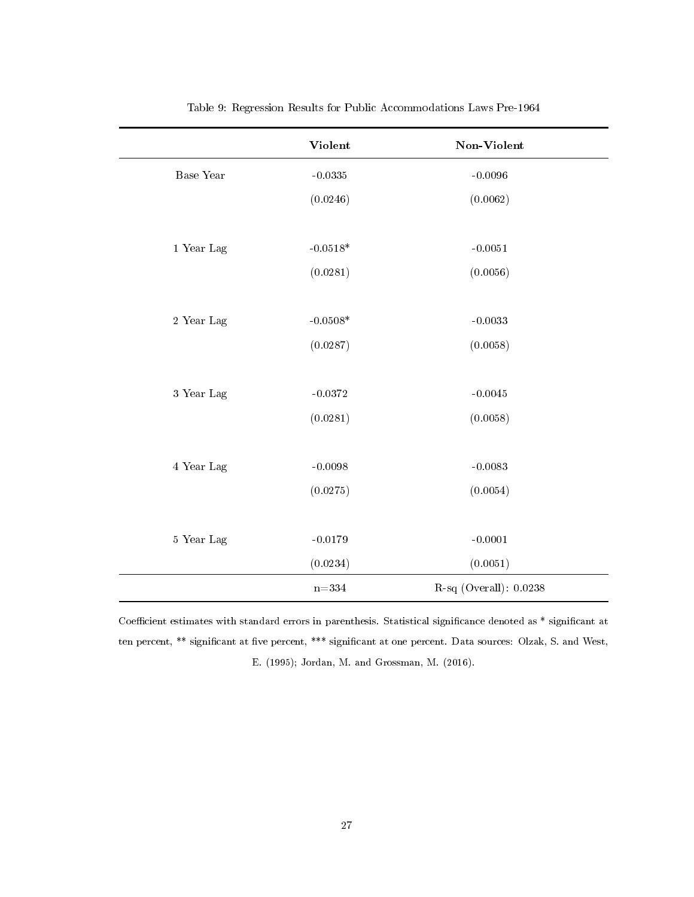|                    | <b>Violent</b>    | Non-Violent                 |
|--------------------|-------------------|-----------------------------|
| Base Year          | $-0.0335$         | $-0.0096$                   |
|                    | (0.0246)          | (0.0062)                    |
|                    |                   |                             |
| $1$ Year $\rm Lag$ | $-0.0518*$        | $\mbox{-}0.0051$            |
|                    | (0.0281)          | (0.0056)                    |
|                    |                   |                             |
| $2$ Year Lag $\,$  | $-0.0508*$        | $-0.0033$                   |
|                    | (0.0287)          | (0.0058)                    |
|                    |                   |                             |
| $3$ Year $\rm Lag$ | $-0.0372$         | $-0.0045$                   |
|                    | (0.0281)          | (0.0058)                    |
|                    |                   |                             |
| $4$ Year Lag $\,$  | $\mbox{--}0.0098$ | $-0.0083$                   |
|                    | (0.0275)          | (0.0054)                    |
|                    |                   |                             |
| 5 Year Lag         | $-0.0179$         | $-0.0001$                   |
|                    | (0.0234)          | (0.0051)                    |
|                    | $\sqrt{n}=334$    | $R$ -sq (Overall): $0.0238$ |

Table 9: Regression Results for Public Accommodations Laws Pre-1964

Coefficient estimates with standard errors in parenthesis. Statistical significance denoted as \* significant at ten percent, \*\* significant at five percent, \*\*\* significant at one percent. Data sources: Olzak, S. and West, E. (1995); Jordan, M. and Grossman, M. (2016).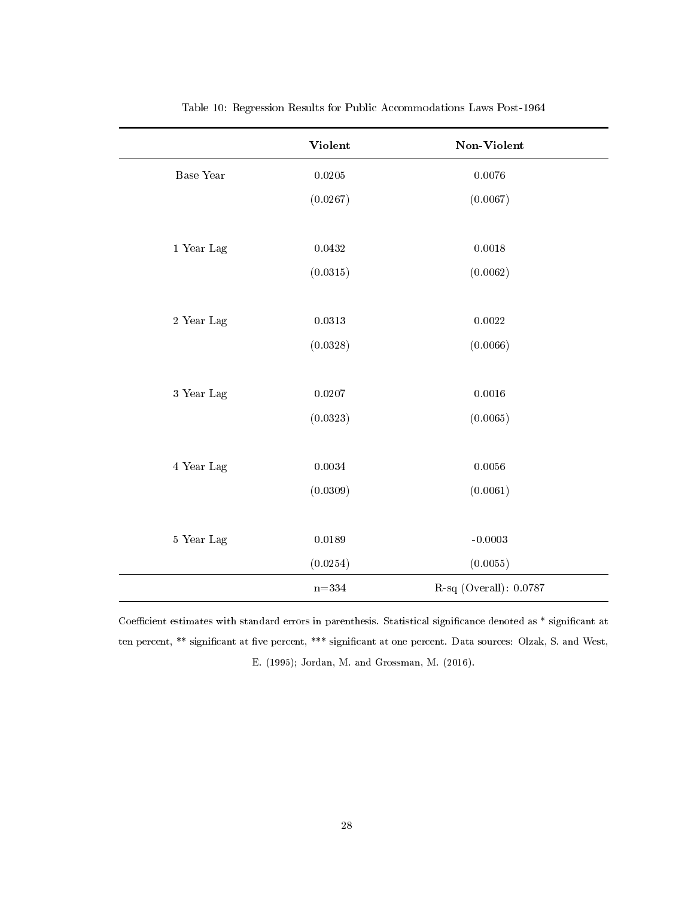|                    | <b>Violent</b> | Non-Violent                |
|--------------------|----------------|----------------------------|
| Base Year          | $0.0205\,$     | 0.0076                     |
|                    | (0.0267)       | (0.0067)                   |
|                    |                |                            |
| 1 Year Lag         | 0.0432         | 0.0018                     |
|                    | (0.0315)       | (0.0062)                   |
|                    |                |                            |
| $2$ Year $\rm Lag$ | $\,0.0313\,$   | 0.0022                     |
|                    | (0.0328)       | (0.0066)                   |
|                    |                |                            |
| $3$ Year $\rm Lag$ | 0.0207         | 0.0016                     |
|                    | (0.0323)       | (0.0065)                   |
|                    |                |                            |
| $4$ Year Lag $\,$  | $\,0.0034\,$   | 0.0056                     |
|                    | (0.0309)       | (0.0061)                   |
|                    |                |                            |
| 5 Year Lag         | $0.0189\,$     | $-0.0003$                  |
|                    | (0.0254)       | (0.0055)                   |
|                    | $\sqrt{n}=334$ | $R-sq$ (Overall): $0.0787$ |

Table 10: Regression Results for Public Accommodations Laws Post-1964